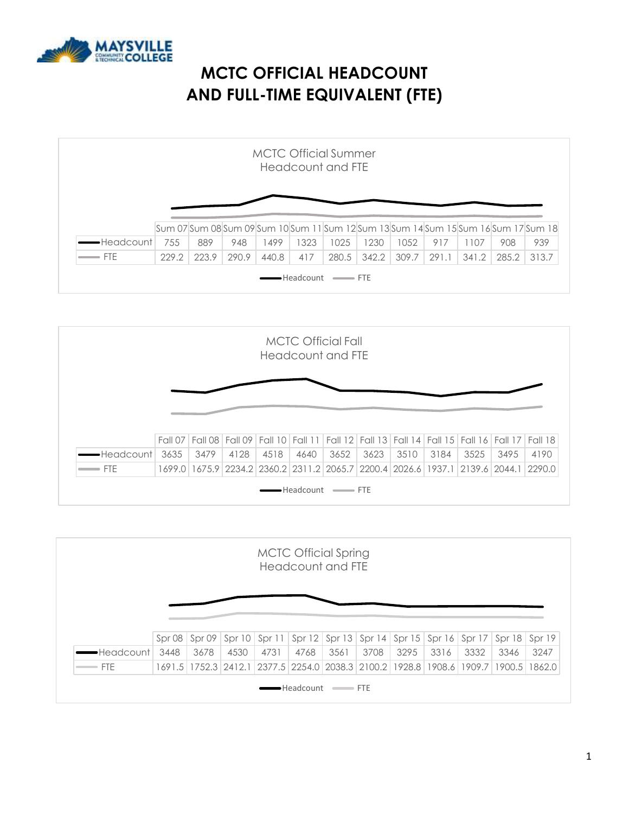

# **MCTC OFFICIAL HEADCOUNT AND FULL-TIME EQUIVALENT (FTE)**

|             |     |     |     |      |      | <b>MCTC Official Summer</b><br>Headcount and FTF |      |      |     |                                                                                              |     |     |
|-------------|-----|-----|-----|------|------|--------------------------------------------------|------|------|-----|----------------------------------------------------------------------------------------------|-----|-----|
|             |     |     |     |      |      |                                                  |      |      |     |                                                                                              |     |     |
|             |     |     |     |      |      |                                                  |      |      |     |                                                                                              |     |     |
|             |     |     |     |      |      |                                                  |      |      |     |                                                                                              |     |     |
| •Headcountl | 755 | 889 | 948 | 1499 | 1323 | 1025                                             | 1230 | 1052 | 917 | Sum 07 Sum 08 Sum 09 Sum 10 Sum 11 Sum 12 Sum 13 Sum 14 Sum 15 Sum 16 Sum 17 Sum 18 <br>1107 | 908 | 939 |



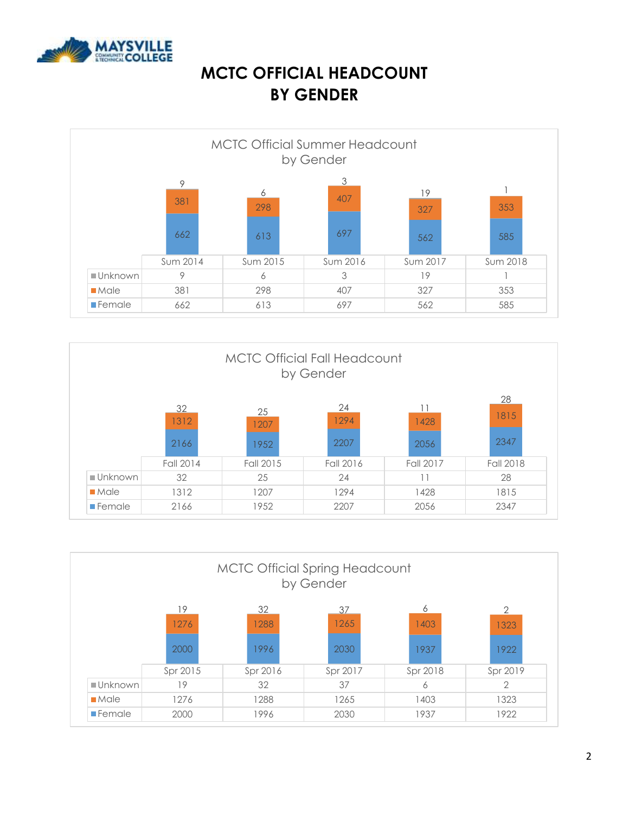

### **MCTC OFFICIAL HEADCOUNT BY GENDER**

|                       |          |          | by Gender |           |          |  |
|-----------------------|----------|----------|-----------|-----------|----------|--|
|                       | 9<br>381 | 6<br>298 | 3<br>407  | 19<br>327 | 353      |  |
|                       | 662      | 613      | 697       | 562       | 585      |  |
|                       | Sum 2014 | Sum 2015 | Sum 2016  | Sum 2017  | Sum 2018 |  |
| ■Unknown              | 9        | 6        | 3         | 19        |          |  |
| $M = M$               | 381      | 298      | 407       | 327       | 353      |  |
| $\blacksquare$ Female | 662      | 613      | 697       | 562       | 585      |  |



| <b>MCTC Official Spring Headcount</b><br>by Gender |                     |          |          |          |          |  |  |  |  |
|----------------------------------------------------|---------------------|----------|----------|----------|----------|--|--|--|--|
|                                                    | 32<br>19<br>6<br>37 |          |          |          |          |  |  |  |  |
|                                                    | 1276                | 1288     | 1265     | 1403     | 1323     |  |  |  |  |
|                                                    | 2000                | 1996     | 2030     | 1937     | 1922     |  |  |  |  |
|                                                    | Spr 2015            | Spr 2016 | Spr 2017 | Spr 2018 | Spr 2019 |  |  |  |  |
| ■Unknown                                           | 19                  | 32       | 37       | 6        | 2        |  |  |  |  |
| Mole                                               | 1276                | 1288     | 1265     | 1403     | 1323     |  |  |  |  |
| $\blacksquare$ Female                              | 2000                | 1996     | 2030     | 1937     | 1922     |  |  |  |  |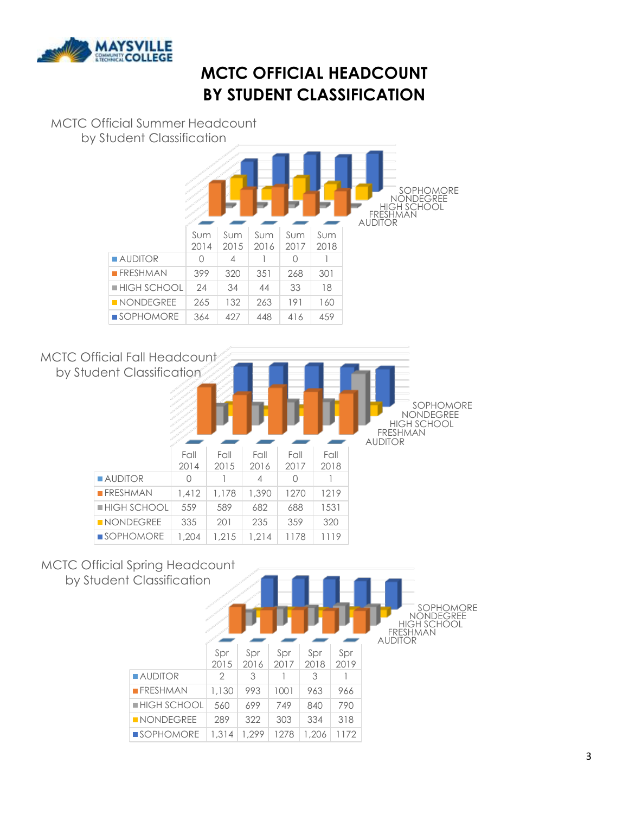

# **MCTC OFFICIAL HEADCOUNT BY STUDENT CLASSIFICATION**

#### MCTC Official Summer Headcount by Student Classification

|                            |             |                |             |             |             | SOPHOMORE<br><b>NONDEGREE</b><br><b>HIGH SCHOOL</b><br><b>FRESHMAN</b><br><b>AUDITOR</b> |
|----------------------------|-------------|----------------|-------------|-------------|-------------|------------------------------------------------------------------------------------------|
|                            | Sum<br>2014 | Sum<br>2015    | Sum<br>2016 | Sum<br>2017 | Sum<br>2018 |                                                                                          |
| <b>AUDITOR</b>             | $\Omega$    | $\overline{4}$ |             | $\bigcap$   |             |                                                                                          |
| $R$ FRESHMAN               | 399         | 320            | 351         | 268         | 301         |                                                                                          |
| $\blacksquare$ HIGH SCHOOL | 24          | 34             | 44          | 33          | 18          |                                                                                          |
| $\blacksquare$ NONDEGREE   | 265         | 132            | 263         | 191         | 160         |                                                                                          |
| $\blacksquare$ SOPHOMORE   | 364         | 427            | 448         | 416         | 459         |                                                                                          |



#### MCTC Official Spring Headcount by Studer

| nt Classification          |               |             |             |             |             | SOPHOMORE<br><b>NONDEGREE</b><br><b>HIGH SCHOOL</b><br><b>FRESHMAN</b><br><b>AUDITOR</b> |
|----------------------------|---------------|-------------|-------------|-------------|-------------|------------------------------------------------------------------------------------------|
|                            | Spr<br>2015   | Spr<br>2016 | Spr<br>2017 | Spr<br>2018 | Spr<br>2019 |                                                                                          |
| $\blacksquare$ AUDITOR     | $\mathcal{D}$ | 3           |             | 3           |             |                                                                                          |
| $R$ FRESHMAN               | 1,130         | 993         | 1001        | 963         | 966         |                                                                                          |
| $\blacksquare$ HIGH SCHOOL | 560           | 699         | 749         | 840         | 790         |                                                                                          |
| NONDEGREE                  | 289           | 322         | 303         | 334         | 318         |                                                                                          |
| $\blacksquare$ SOPHOMORE   | 1,314         | 1.299       | 1278        | 1,206       | 1172        |                                                                                          |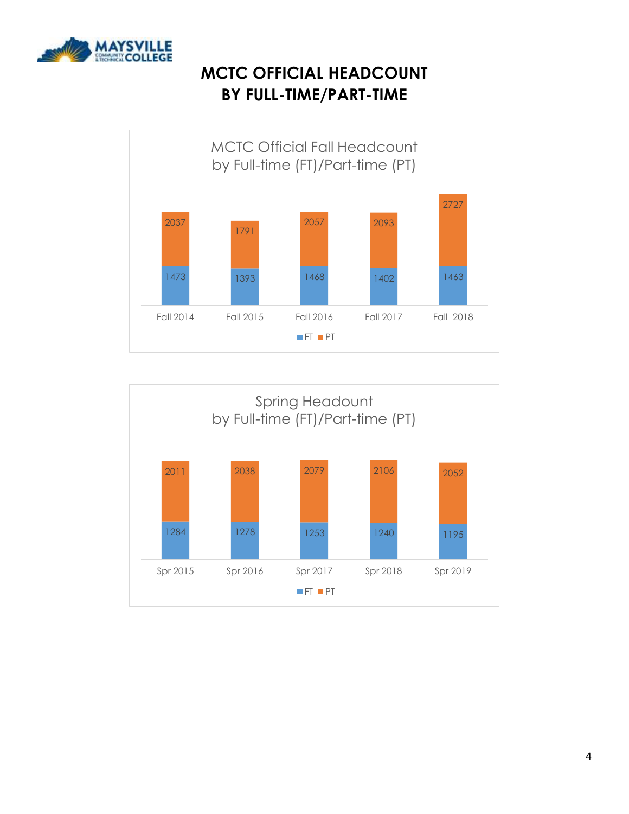

## **MCTC OFFICIAL HEADCOUNT BY FULL-TIME/PART-TIME**



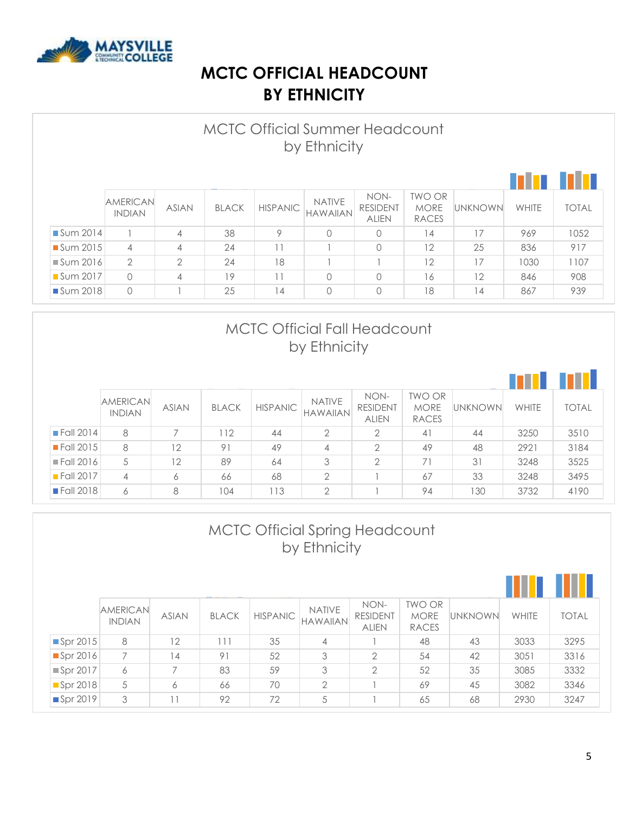

### **MCTC OFFICIAL HEADCOUNT BY ETHNICITY**

|                         | <b>MCTC Official Summer Headcount</b><br>by Ethnicity |                |              |                 |                                  |                                         |                                              |                |       |              |  |
|-------------------------|-------------------------------------------------------|----------------|--------------|-----------------|----------------------------------|-----------------------------------------|----------------------------------------------|----------------|-------|--------------|--|
|                         |                                                       |                |              |                 |                                  |                                         |                                              |                |       |              |  |
|                         | <b>AMERICAN</b><br><b>INDIAN</b>                      | <b>ASIAN</b>   | <b>BLACK</b> | <b>HISPANIC</b> | <b>NATIVE</b><br><b>HAWAIIAN</b> | NON-<br><b>RESIDENT</b><br><b>ALIEN</b> | <b>TWO OR</b><br><b>MORE</b><br><b>RACES</b> | <b>UNKNOWN</b> | WHITE | <b>TOTAL</b> |  |
| $\blacksquare$ Sum 2014 |                                                       | 4              | 38           | 9               | $\Omega$                         | $\Omega$                                | 14                                           | 17             | 969   | 1052         |  |
| Sum 2015                | $\overline{4}$                                        | $\overline{4}$ | 24           |                 |                                  | $\bigcap$                               | 12                                           | 25             | 836   | 917          |  |
| $\blacksquare$ Sum 2016 | $\overline{2}$                                        | $\mathcal{P}$  | 24           | 18              |                                  |                                         | 12                                           | 17             | 1030  | 1107         |  |
| ■ Sum 2017              | $\bigcap$                                             | 4              | 19           |                 | $\Omega$                         | $\Omega$                                | 16                                           | 12             | 846   | 908          |  |
| Sum 2018                | $\circ$                                               |                | 25           | $\overline{4}$  | $\circ$                          | $\Omega$                                | 18                                           | 14             | 867   | 939          |  |

#### MCTC Official Fall Headcount by Ethnicity

|                          | <b>AMERICAN</b><br><b>INDIAN</b> | <b>ASIAN</b> | <b>BLACK</b> | <b>HISPANIC</b> | <b>NATIVE</b><br><b>HAWAIIAN</b> | NON-<br><b>RESIDENT</b><br><b>ALIEN</b> | <b>TWO OR</b><br><b>MORE</b><br><b>RACES</b> | <b>UNKNOWN</b> | <b>WHITE</b> | <b>TOTAL</b> |
|--------------------------|----------------------------------|--------------|--------------|-----------------|----------------------------------|-----------------------------------------|----------------------------------------------|----------------|--------------|--------------|
| $\blacksquare$ Fall 2014 | 8                                |              | 12           | 44              | 2                                | $\overline{2}$                          | 41                                           | 44             | 3250         | 3510         |
| $\blacksquare$ Fall 2015 | 8                                | 12           | 91           | 49              | 4                                | $\overline{2}$                          | 49                                           | 48             | 2921         | 3184         |
| $\blacksquare$ Fall 2016 | 5                                | 12           | 89           | 64              | 3                                | $\overline{2}$                          | 71                                           | 31             | 3248         | 3525         |
| $\blacksquare$ Fall 2017 | 4                                | 6            | 66           | 68              | $\overline{2}$                   |                                         | 67                                           | 33             | 3248         | 3495         |
| <b>Fall 2018</b>         | 6                                | 8            | 104          | 113             | $\overline{2}$                   |                                         | 94                                           | 130            | 3732         | 4190         |

|          | <b>MCTC Official Spring Headcount</b><br>by Ethnicity |              |              |                 |                                  |                                         |                                              |                |              |              |  |
|----------|-------------------------------------------------------|--------------|--------------|-----------------|----------------------------------|-----------------------------------------|----------------------------------------------|----------------|--------------|--------------|--|
|          |                                                       |              |              |                 |                                  |                                         |                                              |                | . .          |              |  |
|          | <b>AMERICAN</b><br><b>INDIAN</b>                      | <b>ASIAN</b> | <b>BLACK</b> | <b>HISPANIC</b> | <b>NATIVE</b><br><b>HAWAIIAN</b> | NON-<br><b>RESIDENT</b><br><b>ALIEN</b> | <b>TWO OR</b><br><b>MORE</b><br><b>RACES</b> | <b>UNKNOWN</b> | <b>WHITE</b> | <b>TOTAL</b> |  |
| Spr 2015 | 8                                                     | 12           | 111          | 35              | 4                                |                                         | 48                                           | 43             | 3033         | 3295         |  |
| Spr 2016 | $\overline{7}$                                        | 14           | 91           | 52              | 3                                | $\overline{2}$                          | 54                                           | 42             | 3051         | 3316         |  |
| Spr 2017 | 6                                                     | 7            | 83           | 59              | 3                                | $\overline{2}$                          | 52                                           | 35             | 3085         | 3332         |  |
| Spr 2018 | 5                                                     | 6            | 66           | 70              | $\overline{2}$                   |                                         | 69                                           | 45             | 3082         | 3346         |  |
| Spr 2019 | 3                                                     | 11           | 92           | 72              | 5                                |                                         | 65                                           | 68             | 2930         | 3247         |  |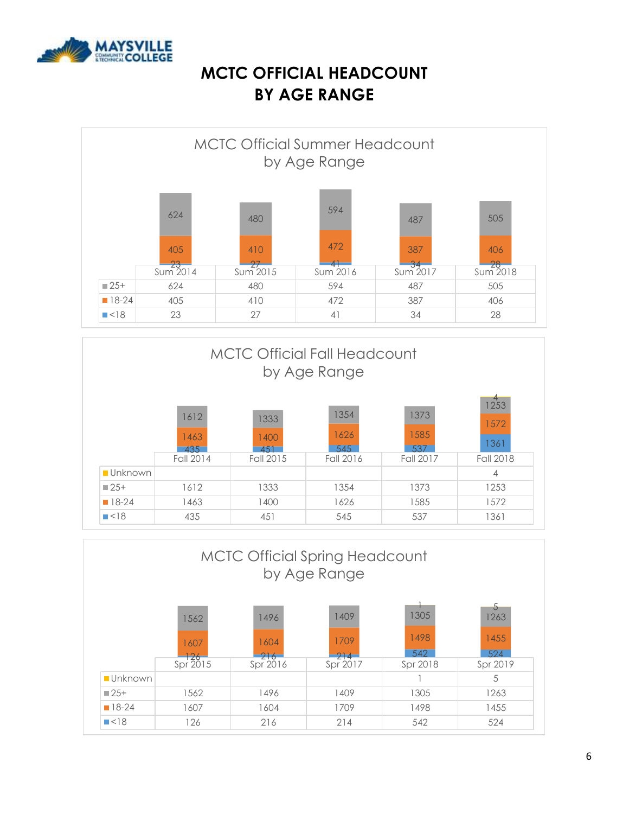

### **MCTC OFFICIAL HEADCOUNT BY AGE RANGE**

|                    |                         | <b>MCTC Official Summer Headcount</b> | by Age Range |              |           |
|--------------------|-------------------------|---------------------------------------|--------------|--------------|-----------|
|                    | 624                     | 480                                   | 594          | 487          | 505       |
|                    | 405                     | 410                                   | 472<br>4-    | 387<br>$-34$ | 406<br>28 |
|                    | $\frac{23}{5}$ Sum 2014 | $Sum$ 2015                            | Sum 2016     | Sum 2017     | Sum2018   |
| $\blacksquare$ 25+ | 624                     | 480                                   | 594          | 487          | 505       |
| $18-24$            | 405                     | 410                                   | 472          | 387          | 406       |
| $\blacksquare$ <18 | 23                      | 27                                    | 41           | 34           | 28        |



|                    | <b>MCTC Official Spring Headcount</b><br>by Age Range |                     |                     |                     |                          |  |  |  |  |  |
|--------------------|-------------------------------------------------------|---------------------|---------------------|---------------------|--------------------------|--|--|--|--|--|
|                    | 1562<br>1607<br>$\frac{126}{5}$ Spr 2015              | 1496<br>1604<br>216 | 1409<br>1709<br>214 | 1305<br>1498<br>542 | 5<br>1263<br>1455<br>524 |  |  |  |  |  |
| <b>Unknown</b>     |                                                       | Spr 2016            | Spr 2017            | Spr 2018            | Spr 2019<br>5            |  |  |  |  |  |
| $\Box$ 25+         | 1562                                                  | 1496                | 1409                | 1305                | 1263                     |  |  |  |  |  |
| $18-24$            | 1607                                                  | 1604                | 1709                | 1498                | 1455                     |  |  |  |  |  |
| $\blacksquare$ <18 | 126                                                   | 216                 | 214                 | 542                 | 524                      |  |  |  |  |  |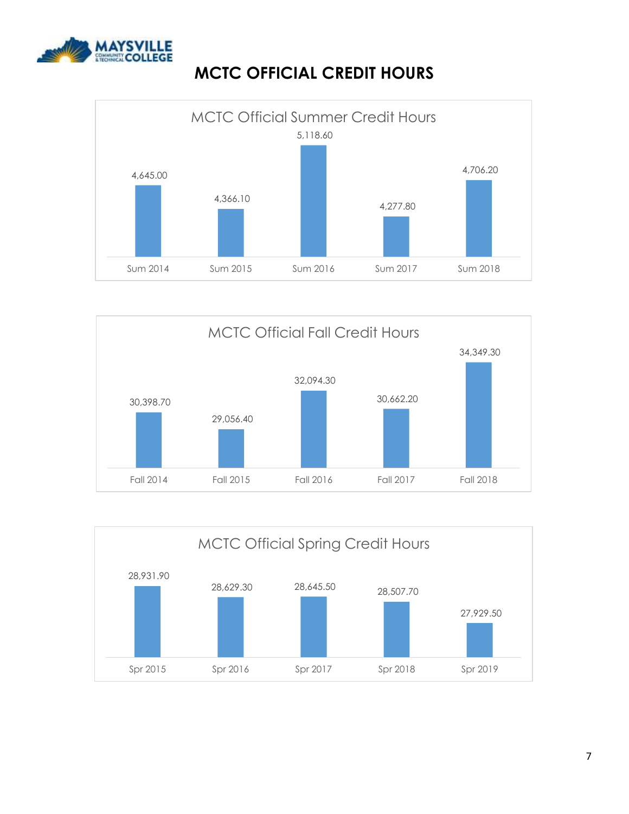

## **MCTC OFFICIAL CREDIT HOURS**